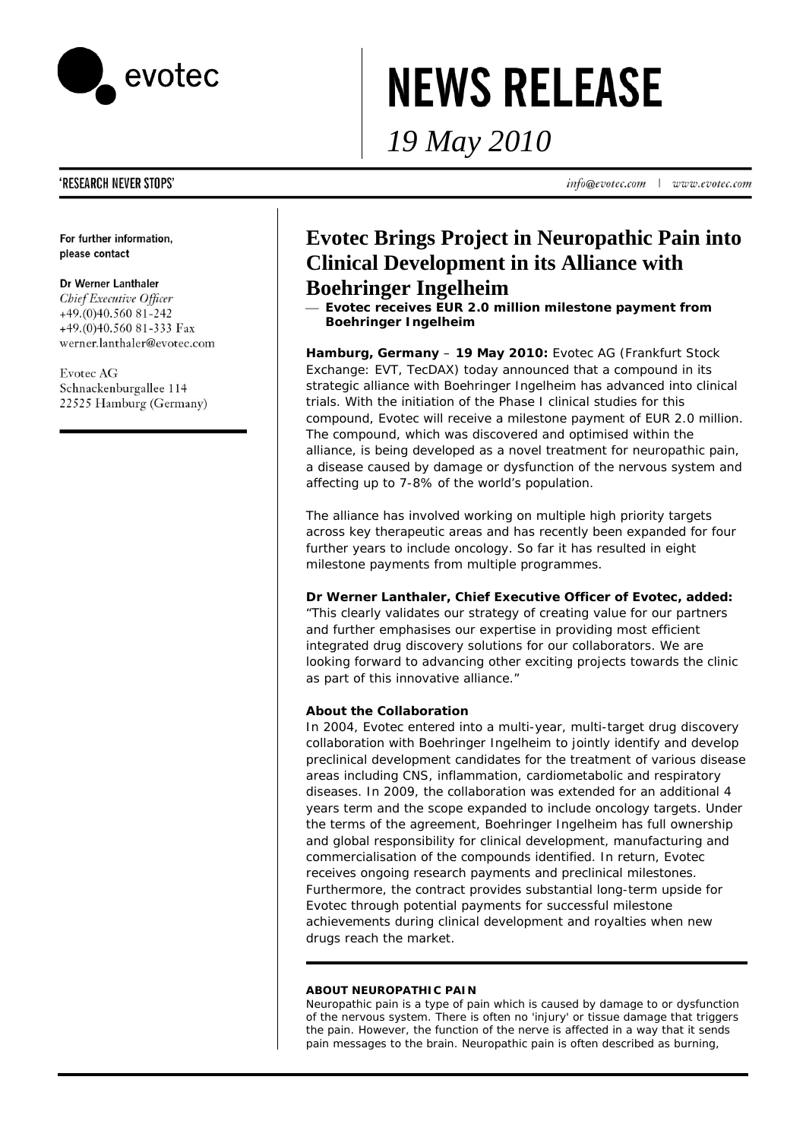

# **NEWS RELEASE**

*19 May 2010* 

**'RESEARCH NEVER STOPS'** 

For further information, please contact

### Dr Werner Lanthaler

Chief Executive Officer +49.(0)40.560 81-242 +49.(0)40.560 81-333 Fax werner.lanthaler@evotec.com

**Evotec AG** Schnackenburgallee 114 22525 Hamburg (Germany)

# **Evotec Brings Project in Neuropathic Pain into Clinical Development in its Alliance with Boehringer Ingelheim**

⎯ **Evotec receives EUR 2.0 million milestone payment from Boehringer Ingelheim** 

**Hamburg, Germany** – **19 May 2010:** Evotec AG (Frankfurt Stock Exchange: EVT, TecDAX) today announced that a compound in its strategic alliance with Boehringer Ingelheim has advanced into clinical trials. With the initiation of the Phase I clinical studies for this compound, Evotec will receive a milestone payment of EUR 2.0 million. The compound, which was discovered and optimised within the alliance, is being developed as a novel treatment for neuropathic pain, a disease caused by damage or dysfunction of the nervous system and affecting up to 7-8% of the world's population.

The alliance has involved working on multiple high priority targets across key therapeutic areas and has recently been expanded for four further years to include oncology. So far it has resulted in eight milestone payments from multiple programmes.

# **Dr Werner Lanthaler, Chief Executive Officer of Evotec, added:**

"This clearly validates our strategy of creating value for our partners and further emphasises our expertise in providing most efficient integrated drug discovery solutions for our collaborators. We are looking forward to advancing other exciting projects towards the clinic as part of this innovative alliance."

# **About the Collaboration**

In 2004, Evotec entered into a multi-year, multi-target drug discovery collaboration with Boehringer Ingelheim to jointly identify and develop preclinical development candidates for the treatment of various disease areas including CNS, inflammation, cardiometabolic and respiratory diseases. In 2009, the collaboration was extended for an additional 4 years term and the scope expanded to include oncology targets. Under the terms of the agreement, Boehringer Ingelheim has full ownership and global responsibility for clinical development, manufacturing and commercialisation of the compounds identified. In return, Evotec receives ongoing research payments and preclinical milestones. Furthermore, the contract provides substantial long-term upside for Evotec through potential payments for successful milestone achievements during clinical development and royalties when new drugs reach the market.

#### **ABOUT NEUROPATHIC PAIN**

Neuropathic pain is a type of pain which is caused by damage to or dysfunction of the nervous system. There is often no 'injury' or tissue damage that triggers the pain. However, the function of the nerve is affected in a way that it sends pain messages to the brain. Neuropathic pain is often described as burning,

info@evotec.com  $\mathbf{L}$ www.evotec.com